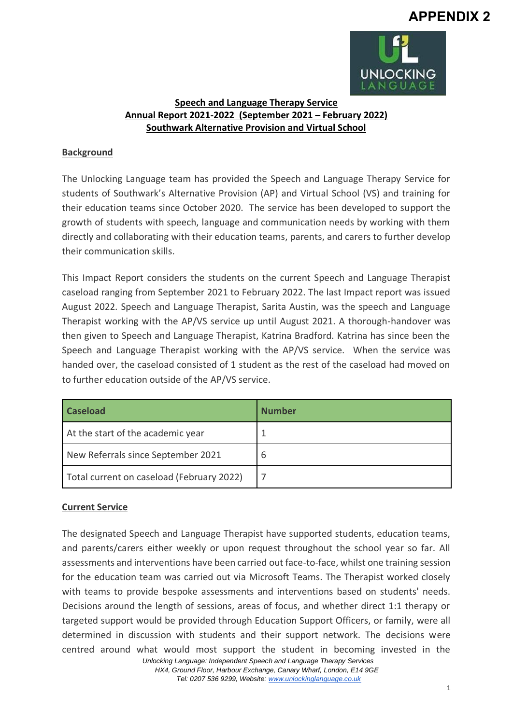# **APPENDIX 2**



# **Speech and Language Therapy Service Annual Report 2021-2022 (September 2021 – February 2022) Southwark Alternative Provision and Virtual School**

## **Background**

The Unlocking Language team has provided the Speech and Language Therapy Service for students of Southwark's Alternative Provision (AP) and Virtual School (VS) and training for their education teams since October 2020. The service has been developed to support the growth of students with speech, language and communication needs by working with them directly and collaborating with their education teams, parents, and carers to further develop their communication skills.

This Impact Report considers the students on the current Speech and Language Therapist caseload ranging from September 2021 to February 2022. The last Impact report was issued August 2022. Speech and Language Therapist, Sarita Austin, was the speech and Language Therapist working with the AP/VS service up until August 2021. A thorough-handover was then given to Speech and Language Therapist, Katrina Bradford. Katrina has since been the Speech and Language Therapist working with the AP/VS service. When the service was handed over, the caseload consisted of 1 student as the rest of the caseload had moved on to further education outside of the AP/VS service.

| <b>Caseload</b>                           | <b>Number</b> |
|-------------------------------------------|---------------|
| At the start of the academic year         |               |
| New Referrals since September 2021        | 6             |
| Total current on caseload (February 2022) |               |

## **Current Service**

 *Unlocking Language: Independent Speech and Language Therapy Services*  The designated Speech and Language Therapist have supported students, education teams, and parents/carers either weekly or upon request throughout the school year so far. All assessments and interventions have been carried out face-to-face, whilst one training session for the education team was carried out via Microsoft Teams. The Therapist worked closely with teams to provide bespoke assessments and interventions based on students' needs. Decisions around the length of sessions, areas of focus, and whether direct 1:1 therapy or targeted support would be provided through Education Support Officers, or family, were all determined in discussion with students and their support network. The decisions were centred around what would most support the student in becoming invested in the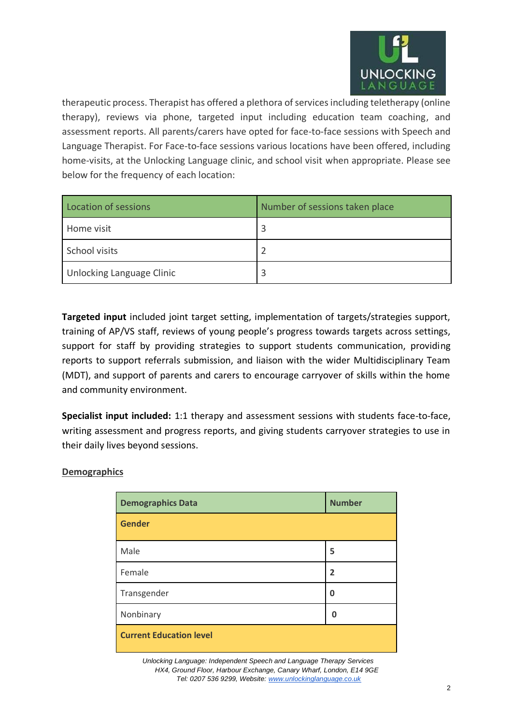

therapeutic process. Therapist has offered a plethora of services including teletherapy (online therapy), reviews via phone, targeted input including education team coaching, and assessment reports. All parents/carers have opted for face-to-face sessions with Speech and Language Therapist. For Face-to-face sessions various locations have been offered, including home-visits, at the Unlocking Language clinic, and school visit when appropriate. Please see below for the frequency of each location:

| Location of sessions      | Number of sessions taken place |
|---------------------------|--------------------------------|
| Home visit                |                                |
| School visits             |                                |
| Unlocking Language Clinic |                                |

**Targeted input** included joint target setting, implementation of targets/strategies support, training of AP/VS staff, reviews of young people's progress towards targets across settings, support for staff by providing strategies to support students communication, providing reports to support referrals submission, and liaison with the wider Multidisciplinary Team (MDT), and support of parents and carers to encourage carryover of skills within the home and community environment.

**Specialist input included:** 1:1 therapy and assessment sessions with students face-to-face, writing assessment and progress reports, and giving students carryover strategies to use in their daily lives beyond sessions.

#### **Demographics**

| <b>Demographics Data</b>       | <b>Number</b>  |
|--------------------------------|----------------|
| <b>Gender</b>                  |                |
| Male                           | 5              |
| Female                         | $\overline{2}$ |
| Transgender                    | $\mathbf 0$    |
| Nonbinary                      | 0              |
| <b>Current Education level</b> |                |

 *Unlocking Language: Independent Speech and Language Therapy Services HX4, Ground Floor, Harbour Exchange, Canary Wharf, London, E14 9GE Tel: 0207 536 9299, Website: [www.unlockinglanguage.co.uk](http://www.unlockinglanguage.co.uk/)*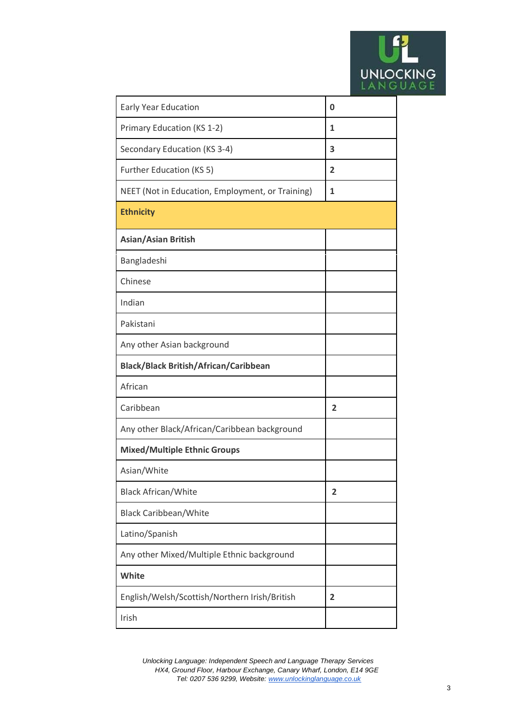

| <b>Early Year Education</b>                      | 0 |
|--------------------------------------------------|---|
| Primary Education (KS 1-2)                       | 1 |
| Secondary Education (KS 3-4)                     | 3 |
| Further Education (KS 5)                         | 2 |
| NEET (Not in Education, Employment, or Training) | 1 |
| <b>Ethnicity</b>                                 |   |
| <b>Asian/Asian British</b>                       |   |
| Bangladeshi                                      |   |
| Chinese                                          |   |
| Indian                                           |   |
| Pakistani                                        |   |
| Any other Asian background                       |   |
| <b>Black/Black British/African/Caribbean</b>     |   |
| African                                          |   |
| Caribbean                                        | 2 |
| Any other Black/African/Caribbean background     |   |
| <b>Mixed/Multiple Ethnic Groups</b>              |   |
| Asian/White                                      |   |
| <b>Black African/White</b>                       | 2 |
| <b>Black Caribbean/White</b>                     |   |
| Latino/Spanish                                   |   |
| Any other Mixed/Multiple Ethnic background       |   |
| White                                            |   |
| English/Welsh/Scottish/Northern Irish/British    | 2 |
| Irish                                            |   |

 *Unlocking Language: Independent Speech and Language Therapy Services HX4, Ground Floor, Harbour Exchange, Canary Wharf, London, E14 9GE Tel: 0207 536 9299, Website: [www.unlockinglanguage.co.uk](http://www.unlockinglanguage.co.uk/)*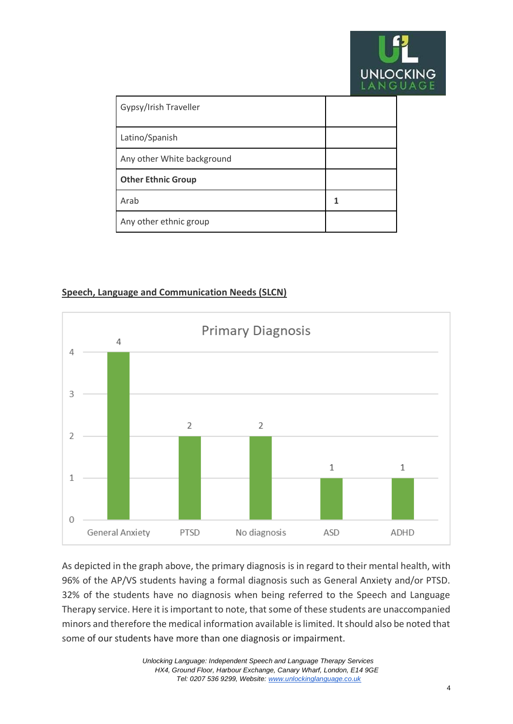

| Gypsy/Irish Traveller      |   |
|----------------------------|---|
| Latino/Spanish             |   |
| Any other White background |   |
| <b>Other Ethnic Group</b>  |   |
| Arab                       | 1 |
| Any other ethnic group     |   |

# **Speech, Language and Communication Needs (SLCN)**



As depicted in the graph above, the primary diagnosis is in regard to their mental health, with 96% of the AP/VS students having a formal diagnosis such as General Anxiety and/or PTSD. 32% of the students have no diagnosis when being referred to the Speech and Language Therapy service. Here it is important to note, that some of these students are unaccompanied minors and therefore the medical information available is limited. It should also be noted that some of our students have more than one diagnosis or impairment.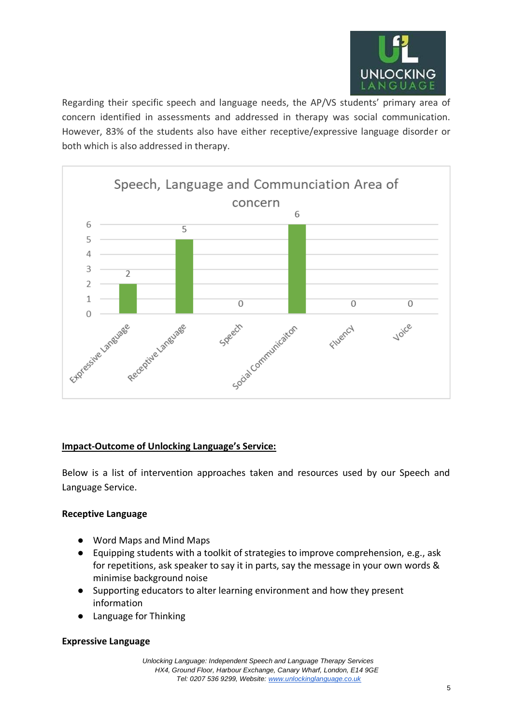

Regarding their specific speech and language needs, the AP/VS students' primary area of concern identified in assessments and addressed in therapy was social communication. However, 83% of the students also have either receptive/expressive language disorder or both which is also addressed in therapy.



## **Impact-Outcome of Unlocking Language's Service:**

Below is a list of intervention approaches taken and resources used by our Speech and Language Service.

## **Receptive Language**

- Word Maps and Mind Maps
- Equipping students with a toolkit of strategies to improve comprehension, e.g., ask for repetitions, ask speaker to say it in parts, say the message in your own words & minimise background noise
- Supporting educators to alter learning environment and how they present information
- Language for Thinking

#### **Expressive Language**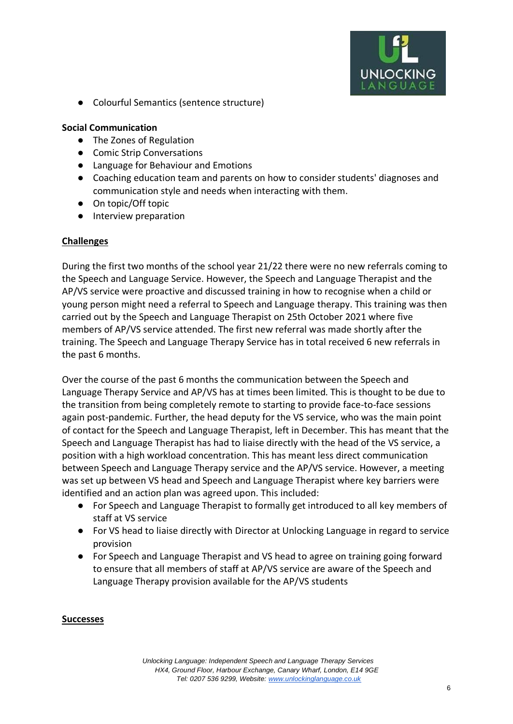

● Colourful Semantics (sentence structure)

#### **Social Communication**

- The Zones of Regulation
- Comic Strip Conversations
- Language for Behaviour and Emotions
- Coaching education team and parents on how to consider students' diagnoses and communication style and needs when interacting with them.
- On topic/Off topic
- Interview preparation

## **Challenges**

During the first two months of the school year 21/22 there were no new referrals coming to the Speech and Language Service. However, the Speech and Language Therapist and the AP/VS service were proactive and discussed training in how to recognise when a child or young person might need a referral to Speech and Language therapy. This training was then carried out by the Speech and Language Therapist on 25th October 2021 where five members of AP/VS service attended. The first new referral was made shortly after the training. The Speech and Language Therapy Service has in total received 6 new referrals in the past 6 months.

Over the course of the past 6 months the communication between the Speech and Language Therapy Service and AP/VS has at times been limited. This is thought to be due to the transition from being completely remote to starting to provide face-to-face sessions again post-pandemic. Further, the head deputy for the VS service, who was the main point of contact for the Speech and Language Therapist, left in December. This has meant that the Speech and Language Therapist has had to liaise directly with the head of the VS service, a position with a high workload concentration. This has meant less direct communication between Speech and Language Therapy service and the AP/VS service. However, a meeting was set up between VS head and Speech and Language Therapist where key barriers were identified and an action plan was agreed upon. This included:

- For Speech and Language Therapist to formally get introduced to all key members of staff at VS service
- For VS head to liaise directly with Director at Unlocking Language in regard to service provision
- For Speech and Language Therapist and VS head to agree on training going forward to ensure that all members of staff at AP/VS service are aware of the Speech and Language Therapy provision available for the AP/VS students

## **Successes**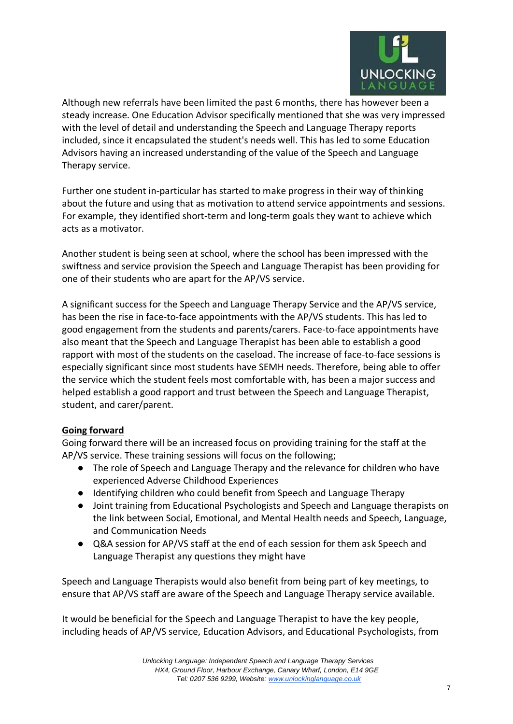

Although new referrals have been limited the past 6 months, there has however been a steady increase. One Education Advisor specifically mentioned that she was very impressed with the level of detail and understanding the Speech and Language Therapy reports included, since it encapsulated the student's needs well. This has led to some Education Advisors having an increased understanding of the value of the Speech and Language Therapy service.

Further one student in-particular has started to make progress in their way of thinking about the future and using that as motivation to attend service appointments and sessions. For example, they identified short-term and long-term goals they want to achieve which acts as a motivator.

Another student is being seen at school, where the school has been impressed with the swiftness and service provision the Speech and Language Therapist has been providing for one of their students who are apart for the AP/VS service.

A significant success for the Speech and Language Therapy Service and the AP/VS service, has been the rise in face-to-face appointments with the AP/VS students. This has led to good engagement from the students and parents/carers. Face-to-face appointments have also meant that the Speech and Language Therapist has been able to establish a good rapport with most of the students on the caseload. The increase of face-to-face sessions is especially significant since most students have SEMH needs. Therefore, being able to offer the service which the student feels most comfortable with, has been a major success and helped establish a good rapport and trust between the Speech and Language Therapist, student, and carer/parent.

## **Going forward**

Going forward there will be an increased focus on providing training for the staff at the AP/VS service. These training sessions will focus on the following;

- The role of Speech and Language Therapy and the relevance for children who have experienced Adverse Childhood Experiences
- Identifying children who could benefit from Speech and Language Therapy
- Joint training from Educational Psychologists and Speech and Language therapists on the link between Social, Emotional, and Mental Health needs and Speech, Language, and Communication Needs
- Q&A session for AP/VS staff at the end of each session for them ask Speech and Language Therapist any questions they might have

Speech and Language Therapists would also benefit from being part of key meetings, to ensure that AP/VS staff are aware of the Speech and Language Therapy service available.

It would be beneficial for the Speech and Language Therapist to have the key people, including heads of AP/VS service, Education Advisors, and Educational Psychologists, from